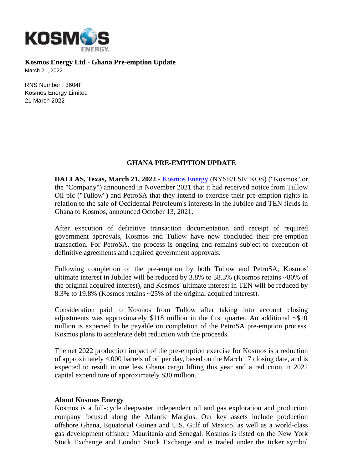

**Kosmos Energy Ltd - Ghana Pre-emption Update**

March 21, 2022

RNS Number : 3604F Kosmos Energy Limited 21 March 2022

## **GHANA PRE-EMPTION UPDATE**

**DALLAS, Texas, March 21, 2022** - [Kosmos Energy](http://www.kosmosenergy.com/) (NYSE/LSE: KOS) ("Kosmos" or the "Company") announced in November 2021 that it had received notice from Tullow Oil plc ("Tullow") and PetroSA that they intend to exercise their pre-emption rights in relation to the sale of Occidental Petroleum's interests in the Jubilee and TEN fields in Ghana to Kosmos, announced October 13, 2021.

After execution of definitive transaction documentation and receipt of required government approvals, Kosmos and Tullow have now concluded their pre-emption transaction. For PetroSA, the process is ongoing and remains subject to execution of definitive agreements and required government approvals.

Following completion of the pre-emption by both Tullow and PetroSA, Kosmos' ultimate interest in Jubilee will be reduced by 3.8% to 38.3% (Kosmos retains ~80% of the original acquired interest), and Kosmos' ultimate interest in TEN will be reduced by 8.3% to 19.8% (Kosmos retains ~25% of the original acquired interest).

Consideration paid to Kosmos from Tullow after taking into account closing adjustments was approximately  $$118$  million in the first quarter. An additional  $~510$ million is expected to be payable on completion of the PetroSA pre-emption process. Kosmos plans to accelerate debt reduction with the proceeds.

The net 2022 production impact of the pre-emption exercise for Kosmos is a reduction of approximately 4,000 barrels of oil per day, based on the March 17 closing date, and is expected to result in one less Ghana cargo lifting this year and a reduction in 2022 capital expenditure of approximately \$30 million.

## **About Kosmos Energy**

Kosmos is a full-cycle deepwater independent oil and gas exploration and production company focused along the Atlantic Margins. Our key assets include production offshore Ghana, Equatorial Guinea and U.S. Gulf of Mexico, as well as a world-class gas development offshore Mauritania and Senegal. Kosmos is listed on the New York Stock Exchange and London Stock Exchange and is traded under the ticker symbol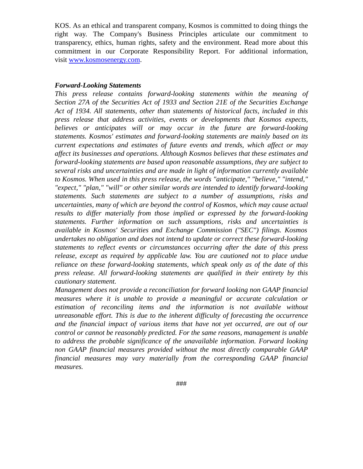KOS. As an ethical and transparent company, Kosmos is committed to doing things the right way. The Company's Business Principles articulate our commitment to transparency, ethics, human rights, safety and the environment. Read more about this commitment in our Corporate Responsibility Report. For additional information, visit [www.kosmosenergy.com.](https://cts.businesswire.com/ct/CT?id=smartlink&url=http%3A%2F%2Fwww.kosmosenergy.com&esheet=52122168&newsitemid=20191103005040&lan=en-US&anchor=www.kosmosenergy.com&index=2&md5=2a5f6a50bbb6fbc7e7ea23825f104710)

## *Forward-Looking Statements*

*This press release contains forward-looking statements within the meaning of Section 27A of the Securities Act of 1933 and Section 21E of the Securities Exchange Act of 1934. All statements, other than statements of historical facts, included in this press release that address activities, events or developments that Kosmos expects, believes or anticipates will or may occur in the future are forward-looking statements. Kosmos' estimates and forward-looking statements are mainly based on its current expectations and estimates of future events and trends, which affect or may affect its businesses and operations. Although Kosmos believes that these estimates and forward-looking statements are based upon reasonable assumptions, they are subject to several risks and uncertainties and are made in light of information currently available to Kosmos. When used in this press release, the words "anticipate," "believe," "intend," "expect," "plan," "will" or other similar words are intended to identify forward-looking statements. Such statements are subject to a number of assumptions, risks and uncertainties, many of which are beyond the control of Kosmos, which may cause actual results to differ materially from those implied or expressed by the forward-looking statements. Further information on such assumptions, risks and uncertainties is available in Kosmos' Securities and Exchange Commission ("SEC") filings. Kosmos undertakes no obligation and does not intend to update or correct these forward-looking statements to reflect events or circumstances occurring after the date of this press release, except as required by applicable law. You are cautioned not to place undue reliance on these forward-looking statements, which speak only as of the date of this press release. All forward-looking statements are qualified in their entirety by this cautionary statement.*

*Management does not provide a reconciliation for forward looking non GAAP financial measures where it is unable to provide a meaningful or accurate calculation or estimation of reconciling items and the information is not available without unreasonable effort. This is due to the inherent difficulty of forecasting the occurrence and the financial impact of various items that have not yet occurred, are out of our control or cannot be reasonably predicted. For the same reasons, management is unable to address the probable significance of the unavailable information. Forward looking non GAAP financial measures provided without the most directly comparable GAAP financial measures may vary materially from the corresponding GAAP financial measures.*